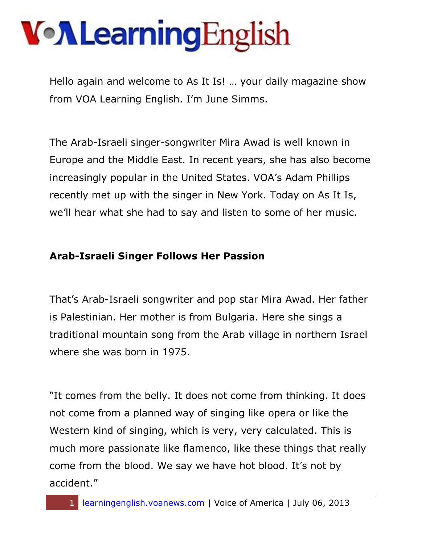Hello again and welcome to As It Is! … your daily magazine show from VOA Learning English. I'm June Simms.

The Arab-Israeli singer-songwriter Mira Awad is well known in Europe and the Middle East. In recent years, she has also become increasingly popular in the United States. VOA's Adam Phillips recently met up with the singer in New York. Today on As It Is, we'll hear what she had to say and listen to some of her music.

#### **Arab-Israeli Singer Follows Her Passion**

That's Arab-Israeli songwriter and pop star Mira Awad. Her father is Palestinian. Her mother is from Bulgaria. Here she sings a traditional mountain song from the Arab village in northern Israel where she was born in 1975.

"It comes from the belly. It does not come from thinking. It does not come from a planned way of singing like opera or like the Western kind of singing, which is very, very calculated. This is much more passionate like flamenco, like these things that really come from the blood. We say we have hot blood. It's not by accident."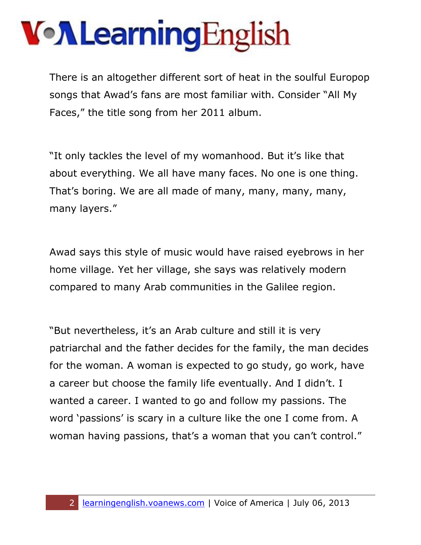There is an altogether different sort of heat in the soulful Europop songs that Awad's fans are most familiar with. Consider "All My Faces," the title song from her 2011 album.

"It only tackles the level of my womanhood. But it's like that about everything. We all have many faces. No one is one thing. That's boring. We are all made of many, many, many, many, many layers."

Awad says this style of music would have raised eyebrows in her home village. Yet her village, she says was relatively modern compared to many Arab communities in the Galilee region.

"But nevertheless, it's an Arab culture and still it is very patriarchal and the father decides for the family, the man decides for the woman. A woman is expected to go study, go work, have a career but choose the family life eventually. And I didn't. I wanted a career. I wanted to go and follow my passions. The word 'passions' is scary in a culture like the one I come from. A woman having passions, that's a woman that you can't control."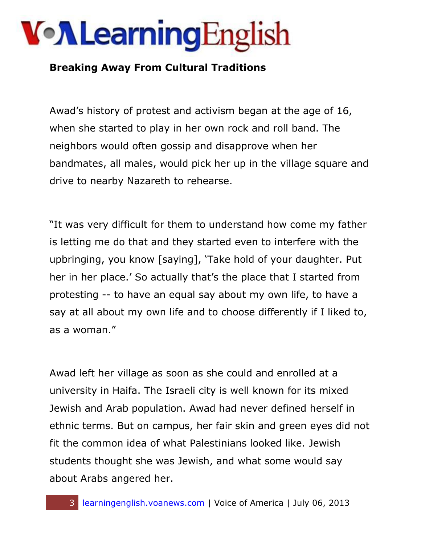### VollearningEnglish

### **Breaking Away From Cultural Traditions**

Awad's history of protest and activism began at the age of 16, when she started to play in her own rock and roll band. The neighbors would often gossip and disapprove when her bandmates, all males, would pick her up in the village square and drive to nearby Nazareth to rehearse.

"It was very difficult for them to understand how come my father is letting me do that and they started even to interfere with the upbringing, you know [saying], 'Take hold of your daughter. Put her in her place.' So actually that's the place that I started from protesting -- to have an equal say about my own life, to have a say at all about my own life and to choose differently if I liked to, as a woman."

Awad left her village as soon as she could and enrolled at a university in Haifa. The Israeli city is well known for its mixed Jewish and Arab population. Awad had never defined herself in ethnic terms. But on campus, her fair skin and green eyes did not fit the common idea of what Palestinians looked like. Jewish students thought she was Jewish, and what some would say about Arabs angered her.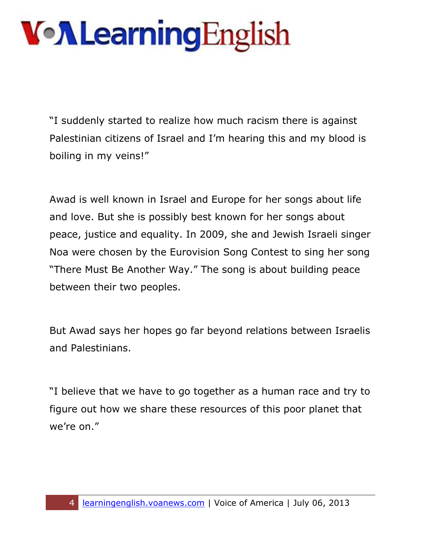"I suddenly started to realize how much racism there is against Palestinian citizens of Israel and I'm hearing this and my blood is boiling in my veins!"

Awad is well known in Israel and Europe for her songs about life and love. But she is possibly best known for her songs about peace, justice and equality. In 2009, she and Jewish Israeli singer Noa were chosen by the Eurovision Song Contest to sing her song "There Must Be Another Way." The song is about building peace between their two peoples.

But Awad says her hopes go far beyond relations between Israelis and Palestinians.

"I believe that we have to go together as a human race and try to figure out how we share these resources of this poor planet that we're on."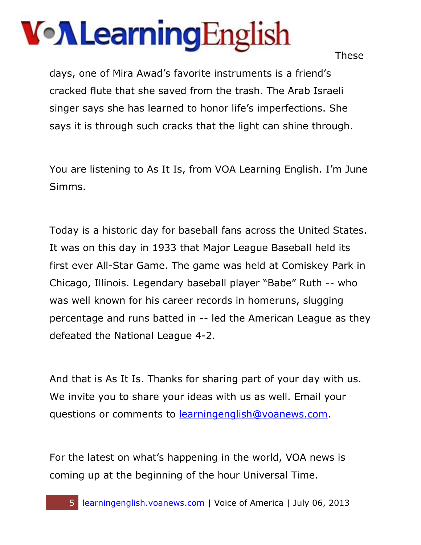These

days, one of Mira Awad's favorite instruments is a friend's cracked flute that she saved from the trash. The Arab Israeli singer says she has learned to honor life's imperfections. She says it is through such cracks that the light can shine through.

You are listening to As It Is, from VOA Learning English. I'm June Simms.

Today is a historic day for baseball fans across the United States. It was on this day in 1933 that Major League Baseball held its first ever All-Star Game. The game was held at Comiskey Park in Chicago, Illinois. Legendary baseball player "Babe" Ruth -- who was well known for his career records in homeruns, slugging percentage and runs batted in -- led the American League as they defeated the National League 4-2.

And that is As It Is. Thanks for sharing part of your day with us. We invite you to share your ideas with us as well. Email your questions or comments to [learningenglish@voanews.com.](mailto:learningenglish@voanews.com)

For the latest on what's happening in the world, VOA news is coming up at the beginning of the hour Universal Time.